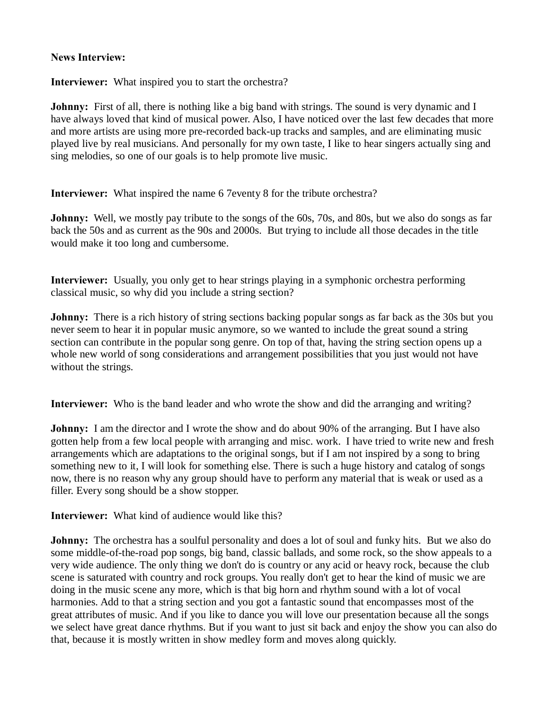## **News Interview:**

**Interviewer:** What inspired you to start the orchestra?

**Johnny:** First of all, there is nothing like a big band with strings. The sound is very dynamic and I have always loved that kind of musical power. Also, I have noticed over the last few decades that more and more artists are using more pre-recorded back-up tracks and samples, and are eliminating music played live by real musicians. And personally for my own taste, I like to hear singers actually sing and sing melodies, so one of our goals is to help promote live music.

**Interviewer:** What inspired the name 6 7eventy 8 for the tribute orchestra?

**Johnny:** Well, we mostly pay tribute to the songs of the 60s, 70s, and 80s, but we also do songs as far back the 50s and as current as the 90s and 2000s. But trying to include all those decades in the title would make it too long and cumbersome.

**Interviewer:** Usually, you only get to hear strings playing in a symphonic orchestra performing classical music, so why did you include a string section?

**Johnny:** There is a rich history of string sections backing popular songs as far back as the 30s but you never seem to hear it in popular music anymore, so we wanted to include the great sound a string section can contribute in the popular song genre. On top of that, having the string section opens up a whole new world of song considerations and arrangement possibilities that you just would not have without the strings.

**Interviewer:** Who is the band leader and who wrote the show and did the arranging and writing?

**Johnny:** I am the director and I wrote the show and do about 90% of the arranging. But I have also gotten help from a few local people with arranging and misc. work. I have tried to write new and fresh arrangements which are adaptations to the original songs, but if I am not inspired by a song to bring something new to it, I will look for something else. There is such a huge history and catalog of songs now, there is no reason why any group should have to perform any material that is weak or used as a filler. Every song should be a show stopper.

**Interviewer:** What kind of audience would like this?

**Johnny:** The orchestra has a soulful personality and does a lot of soul and funky hits. But we also do some middle-of-the-road pop songs, big band, classic ballads, and some rock, so the show appeals to a very wide audience. The only thing we don't do is country or any acid or heavy rock, because the club scene is saturated with country and rock groups. You really don't get to hear the kind of music we are doing in the music scene any more, which is that big horn and rhythm sound with a lot of vocal harmonies. Add to that a string section and you got a fantastic sound that encompasses most of the great attributes of music. And if you like to dance you will love our presentation because all the songs we select have great dance rhythms. But if you want to just sit back and enjoy the show you can also do that, because it is mostly written in show medley form and moves along quickly.